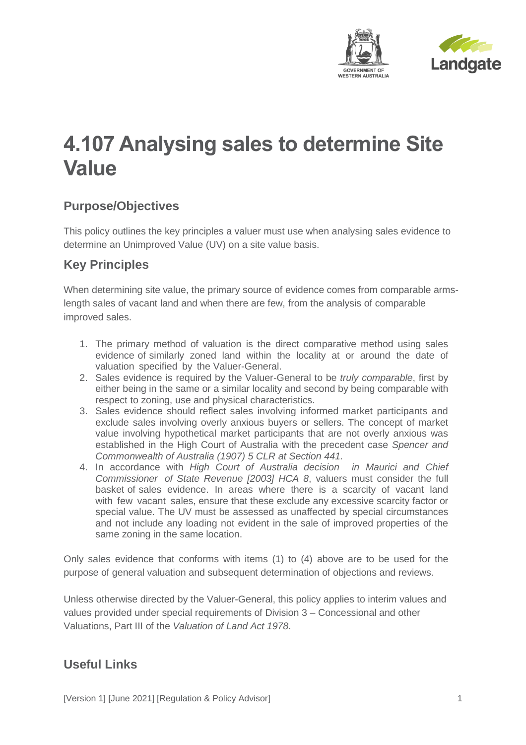



## **4.107 Analysing sales to determine Site Value**

## **Purpose/Objectives**

This policy outlines the key principles a valuer must use when analysing sales evidence to determine an Unimproved Value (UV) on a site value basis.

## **Key Principles**

When determining site value, the primary source of evidence comes from comparable armslength sales of vacant land and when there are few, from the analysis of comparable improved sales.

- 1. The primary method of valuation is the direct comparative method using sales evidence of similarly zoned land within the locality at or around the date of valuation specified by the Valuer-General.
- 2. Sales evidence is required by the Valuer-General to be *truly comparable*, first by either being in the same or a similar locality and second by being comparable with respect to zoning, use and physical characteristics.
- 3. Sales evidence should reflect sales involving informed market participants and exclude sales involving overly anxious buyers or sellers. The concept of market value involving hypothetical market participants that are not overly anxious was established in the High Court of Australia with the precedent case *Spencer and Commonwealth of Australia (1907) 5 CLR at Section 441.*
- 4. In accordance with *High Court of Australia decision in Maurici and Chief Commissioner of State Revenue [2003] HCA 8*, valuers must consider the full basket of sales evidence. In areas where there is a scarcity of vacant land with few vacant sales, ensure that these exclude any excessive scarcity factor or special value. The UV must be assessed as unaffected by special circumstances and not include any loading not evident in the sale of improved properties of the same zoning in the same location.

Only sales evidence that conforms with items (1) to (4) above are to be used for the purpose of general valuation and subsequent determination of objections and reviews.

Unless otherwise directed by the Valuer-General, this policy applies to interim values and values provided under special requirements of Division 3 – Concessional and other Valuations, Part III of the *Valuation of Land Act 1978*.

## **Useful Links**